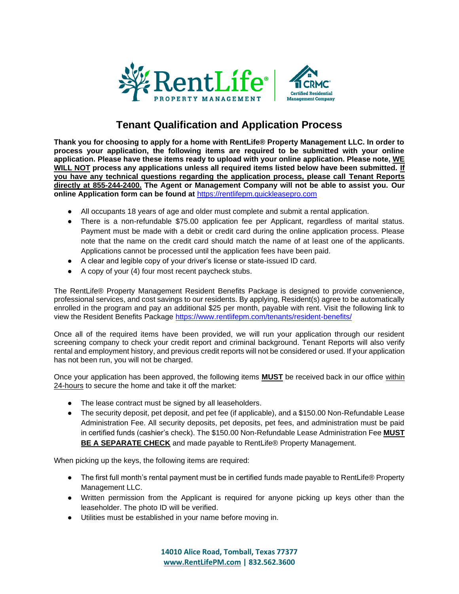

## **Tenant Qualification and Application Process**

**Thank you for choosing to apply for a home with RentLife® Property Management LLC. In order to process your application, the following items are required to be submitted with your online application. Please have these items ready to upload with your online application. Please note, WE WILL NOT process any applications unless all required items listed below have been submitted. If you have any technical questions regarding the application process, please call Tenant Reports directly at 855-244-2400. The Agent or Management Company will not be able to assist you. Our online Application form can be found at** [https://rentlifepm.quickleasepro.com](https://rentlifepm.quickleasepro.com/)

- All occupants 18 years of age and older must complete and submit a rental application.
- There is a non-refundable \$75.00 application fee per Applicant, regardless of marital status. Payment must be made with a debit or credit card during the online application process. Please note that the name on the credit card should match the name of at least one of the applicants. Applications cannot be processed until the application fees have been paid.
- A clear and legible copy of your driver's license or state-issued ID card.
- A copy of your (4) four most recent paycheck stubs.

The RentLife® Property Management Resident Benefits Package is designed to provide convenience, professional services, and cost savings to our residents. By applying, Resident(s) agree to be automatically enrolled in the program and pay an additional \$25 per month, payable with rent. Visit the following link to view the Resident Benefits Package<https://www.rentlifepm.com/tenants/resident-benefits/>

Once all of the required items have been provided, we will run your application through our resident screening company to check your credit report and criminal background. Tenant Reports will also verify rental and employment history, and previous credit reports will not be considered or used. If your application has not been run, you will not be charged.

Once your application has been approved, the following items **MUST** be received back in our office within 24-hours to secure the home and take it off the market:

- The lease contract must be signed by all leaseholders.
- The security deposit, pet deposit, and pet fee (if applicable), and a \$150.00 Non-Refundable Lease Administration Fee. All security deposits, pet deposits, pet fees, and administration must be paid in certified funds (cashier's check). The \$150.00 Non-Refundable Lease Administration Fee **MUST BE A SEPARATE CHECK** and made payable to RentLife® Property Management.

When picking up the keys, the following items are required:

- The first full month's rental payment must be in certified funds made payable to RentLife® Property Management LLC.
- Written permission from the Applicant is required for anyone picking up keys other than the leaseholder. The photo ID will be verified.
- Utilities must be established in your name before moving in.

**14010 Alice Road, Tomball, Texas 77377 [www.RentLifePM.com](http://www.rentlifepm.com/) | 832.562.3600**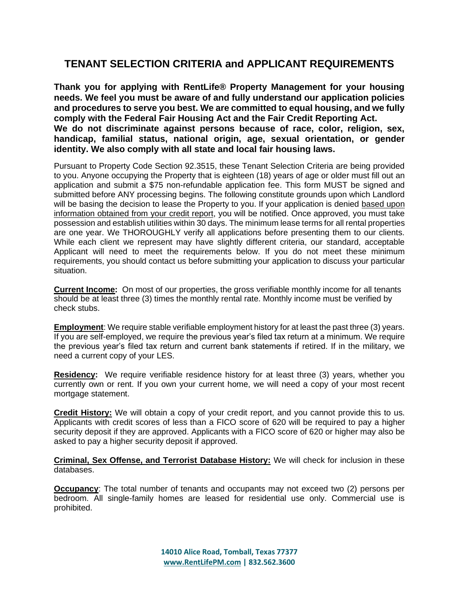## **TENANT SELECTION CRITERIA and APPLICANT REQUIREMENTS**

**Thank you for applying with RentLife® Property Management for your housing needs. We feel you must be aware of and fully understand our application policies and procedures to serve you best. We are committed to equal housing, and we fully comply with the Federal Fair Housing Act and the Fair Credit Reporting Act. We do not discriminate against persons because of race, color, religion, sex, handicap, familial status, national origin, age, sexual orientation, or gender identity. We also comply with all state and local fair housing laws.** 

Pursuant to Property Code Section 92.3515, these Tenant Selection Criteria are being provided to you. Anyone occupying the Property that is eighteen (18) years of age or older must fill out an application and submit a \$75 non-refundable application fee. This form MUST be signed and submitted before ANY processing begins. The following constitute grounds upon which Landlord will be basing the decision to lease the Property to you. If your application is denied based upon information obtained from your credit report, you will be notified. Once approved, you must take possession and establish utilities within 30 days. The minimum lease terms for all rental properties are one year. We THOROUGHLY verify all applications before presenting them to our clients. While each client we represent may have slightly different criteria, our standard, acceptable Applicant will need to meet the requirements below. If you do not meet these minimum requirements, you should contact us before submitting your application to discuss your particular situation.

**Current Income:** On most of our properties, the gross verifiable monthly income for all tenants should be at least three (3) times the monthly rental rate. Monthly income must be verified by check stubs.

**Employment**: We require stable verifiable employment history for at least the past three (3) years. If you are self-employed, we require the previous year's filed tax return at a minimum. We require the previous year's filed tax return and current bank statements if retired. If in the military, we need a current copy of your LES.

**Residency:** We require verifiable residence history for at least three (3) years, whether you currently own or rent. If you own your current home, we will need a copy of your most recent mortgage statement.

**Credit History:** We will obtain a copy of your credit report, and you cannot provide this to us. Applicants with credit scores of less than a FICO score of 620 will be required to pay a higher security deposit if they are approved. Applicants with a FICO score of 620 or higher may also be asked to pay a higher security deposit if approved.

**Criminal, Sex Offense, and Terrorist Database History:** We will check for inclusion in these databases.

**Occupancy**: The total number of tenants and occupants may not exceed two (2) persons per bedroom. All single-family homes are leased for residential use only. Commercial use is prohibited.